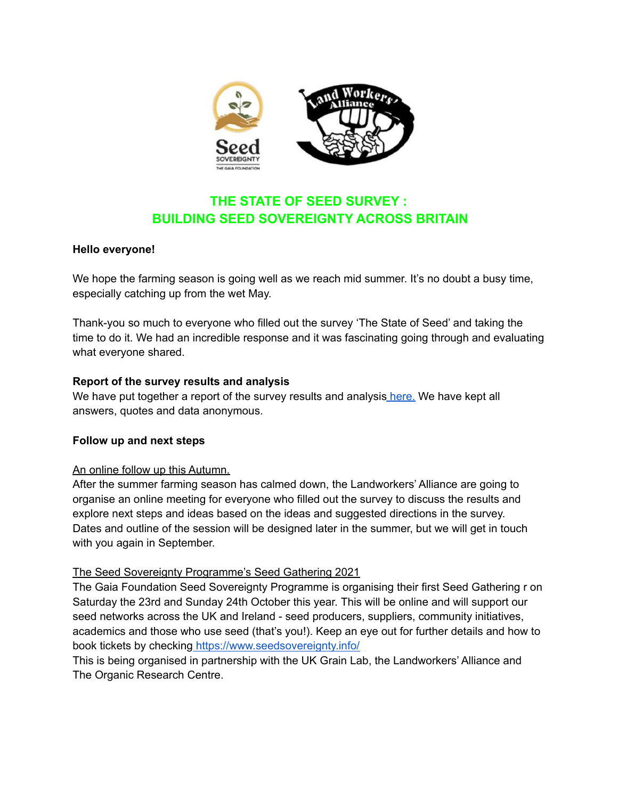

# **THE STATE OF SEED SURVEY : BUILDING SEED SOVEREIGNTY ACROSS BRITAIN**

#### **Hello everyone!**

We hope the farming season is going well as we reach mid summer. It's no doubt a busy time, especially catching up from the wet May.

Thank-you so much to everyone who filled out the survey 'The State of Seed' and taking the time to do it. We had an incredible response and it was fascinating going through and evaluating what everyone shared.

#### **Report of the survey results and analysis**

We have put together a report of the survey results and analysis [here.](https://landworkersalliance.org.uk/wp-content/uploads/2021/07/State-of-Seed-report-final-2021.pdf) We have kept all answers, quotes and data anonymous.

## **Follow up and next steps**

#### An online follow up this Autumn.

After the summer farming season has calmed down, the Landworkers' Alliance are going to organise an online meeting for everyone who filled out the survey to discuss the results and explore next steps and ideas based on the ideas and suggested directions in the survey. Dates and outline of the session will be designed later in the summer, but we will get in touch with you again in September.

## The Seed Sovereignty Programme's Seed Gathering 2021

The Gaia Foundation Seed Sovereignty Programme is organising their first Seed Gathering r on Saturday the 23rd and Sunday 24th October this year. This will be online and will support our seed networks across the UK and Ireland - seed producers, suppliers, community initiatives, academics and those who use seed (that's you!). Keep an eye out for further details and how to book tickets by checking <https://www.seedsovereignty.info/>

This is being organised in partnership with the UK Grain Lab, the Landworkers' Alliance and The Organic Research Centre.